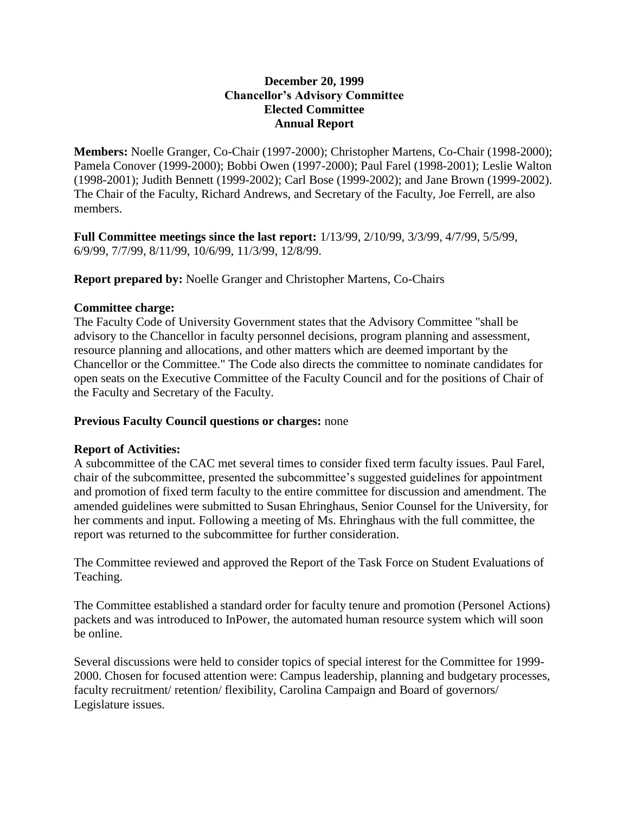## **December 20, 1999 Chancellor's Advisory Committee Elected Committee Annual Report**

**Members:** Noelle Granger, Co-Chair (1997-2000); Christopher Martens, Co-Chair (1998-2000); Pamela Conover (1999-2000); Bobbi Owen (1997-2000); Paul Farel (1998-2001); Leslie Walton (1998-2001); Judith Bennett (1999-2002); Carl Bose (1999-2002); and Jane Brown (1999-2002). The Chair of the Faculty, Richard Andrews, and Secretary of the Faculty, Joe Ferrell, are also members.

**Full Committee meetings since the last report:** 1/13/99, 2/10/99, 3/3/99, 4/7/99, 5/5/99, 6/9/99, 7/7/99, 8/11/99, 10/6/99, 11/3/99, 12/8/99.

**Report prepared by:** Noelle Granger and Christopher Martens, Co-Chairs

## **Committee charge:**

The Faculty Code of University Government states that the Advisory Committee "shall be advisory to the Chancellor in faculty personnel decisions, program planning and assessment, resource planning and allocations, and other matters which are deemed important by the Chancellor or the Committee." The Code also directs the committee to nominate candidates for open seats on the Executive Committee of the Faculty Council and for the positions of Chair of the Faculty and Secretary of the Faculty.

## **Previous Faculty Council questions or charges:** none

## **Report of Activities:**

A subcommittee of the CAC met several times to consider fixed term faculty issues. Paul Farel, chair of the subcommittee, presented the subcommittee's suggested guidelines for appointment and promotion of fixed term faculty to the entire committee for discussion and amendment. The amended guidelines were submitted to Susan Ehringhaus, Senior Counsel for the University, for her comments and input. Following a meeting of Ms. Ehringhaus with the full committee, the report was returned to the subcommittee for further consideration.

The Committee reviewed and approved the Report of the Task Force on Student Evaluations of Teaching.

The Committee established a standard order for faculty tenure and promotion (Personel Actions) packets and was introduced to InPower, the automated human resource system which will soon be online.

Several discussions were held to consider topics of special interest for the Committee for 1999- 2000. Chosen for focused attention were: Campus leadership, planning and budgetary processes, faculty recruitment/ retention/ flexibility, Carolina Campaign and Board of governors/ Legislature issues.